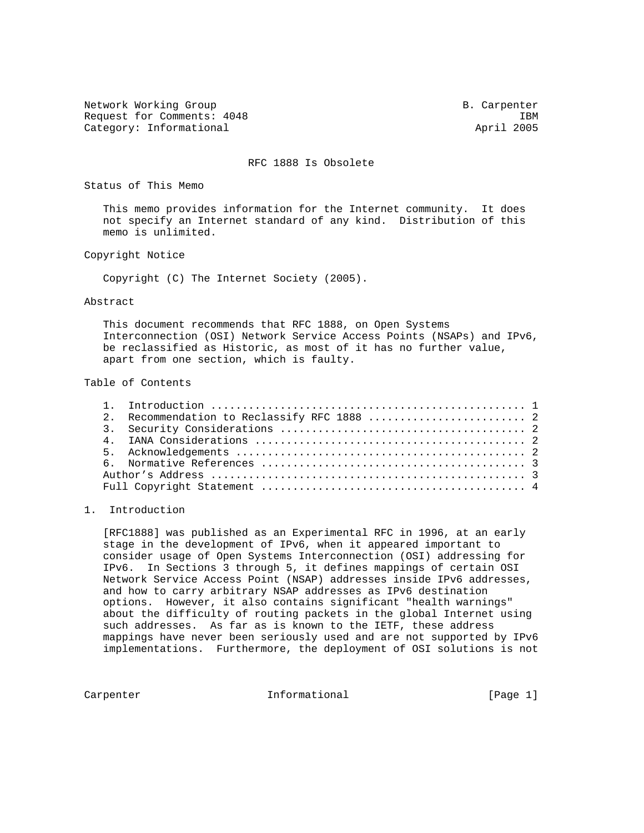Network Working Group B. Carpenter B. Carpenter Request for Comments: 4048 IBM<br>
Category: Informational and the category: Informational and the category: Informational and the category: Informational and the category: Informational and the category: Informational and th Category: Informational

## RFC 1888 Is Obsolete

Status of This Memo

 This memo provides information for the Internet community. It does not specify an Internet standard of any kind. Distribution of this memo is unlimited.

Copyright Notice

Copyright (C) The Internet Society (2005).

Abstract

 This document recommends that RFC 1888, on Open Systems Interconnection (OSI) Network Service Access Points (NSAPs) and IPv6, be reclassified as Historic, as most of it has no further value, apart from one section, which is faulty.

Table of Contents

|  | 2. Recommendation to Reclassify RFC 1888  2 |  |
|--|---------------------------------------------|--|
|  |                                             |  |
|  |                                             |  |
|  |                                             |  |
|  |                                             |  |
|  |                                             |  |
|  |                                             |  |

## 1. Introduction

 [RFC1888] was published as an Experimental RFC in 1996, at an early stage in the development of IPv6, when it appeared important to consider usage of Open Systems Interconnection (OSI) addressing for IPv6. In Sections 3 through 5, it defines mappings of certain OSI Network Service Access Point (NSAP) addresses inside IPv6 addresses, and how to carry arbitrary NSAP addresses as IPv6 destination options. However, it also contains significant "health warnings" about the difficulty of routing packets in the global Internet using such addresses. As far as is known to the IETF, these address mappings have never been seriously used and are not supported by IPv6 implementations. Furthermore, the deployment of OSI solutions is not

Carpenter 11 Informational 10 [Page 1]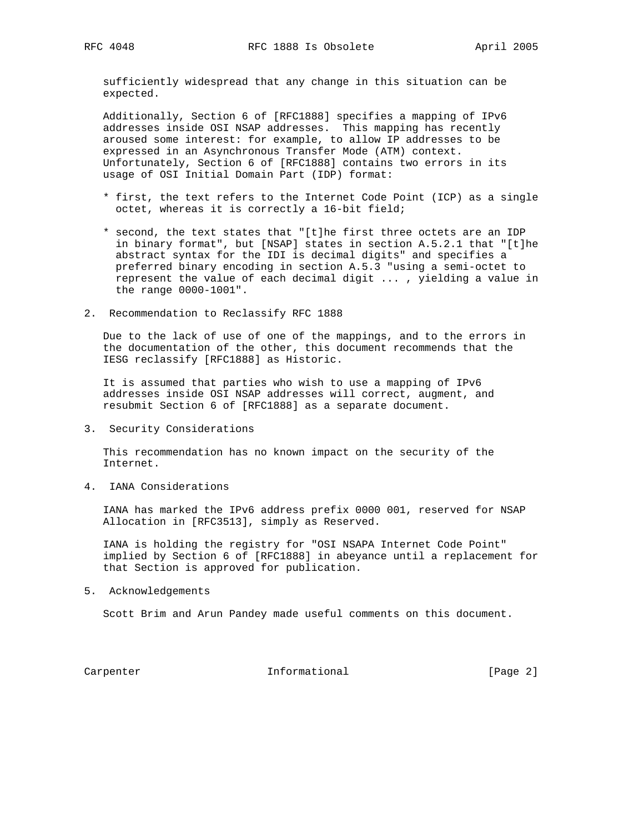sufficiently widespread that any change in this situation can be expected.

 Additionally, Section 6 of [RFC1888] specifies a mapping of IPv6 addresses inside OSI NSAP addresses. This mapping has recently aroused some interest: for example, to allow IP addresses to be expressed in an Asynchronous Transfer Mode (ATM) context. Unfortunately, Section 6 of [RFC1888] contains two errors in its usage of OSI Initial Domain Part (IDP) format:

- \* first, the text refers to the Internet Code Point (ICP) as a single octet, whereas it is correctly a 16-bit field;
- \* second, the text states that "[t]he first three octets are an IDP in binary format", but [NSAP] states in section A.5.2.1 that "[t]he abstract syntax for the IDI is decimal digits" and specifies a preferred binary encoding in section A.5.3 "using a semi-octet to represent the value of each decimal digit ... , yielding a value in the range 0000-1001".
- 2. Recommendation to Reclassify RFC 1888

 Due to the lack of use of one of the mappings, and to the errors in the documentation of the other, this document recommends that the IESG reclassify [RFC1888] as Historic.

 It is assumed that parties who wish to use a mapping of IPv6 addresses inside OSI NSAP addresses will correct, augment, and resubmit Section 6 of [RFC1888] as a separate document.

3. Security Considerations

 This recommendation has no known impact on the security of the Internet.

4. IANA Considerations

 IANA has marked the IPv6 address prefix 0000 001, reserved for NSAP Allocation in [RFC3513], simply as Reserved.

 IANA is holding the registry for "OSI NSAPA Internet Code Point" implied by Section 6 of [RFC1888] in abeyance until a replacement for that Section is approved for publication.

5. Acknowledgements

Scott Brim and Arun Pandey made useful comments on this document.

Carpenter 10 Informational 100 Informational [Page 2]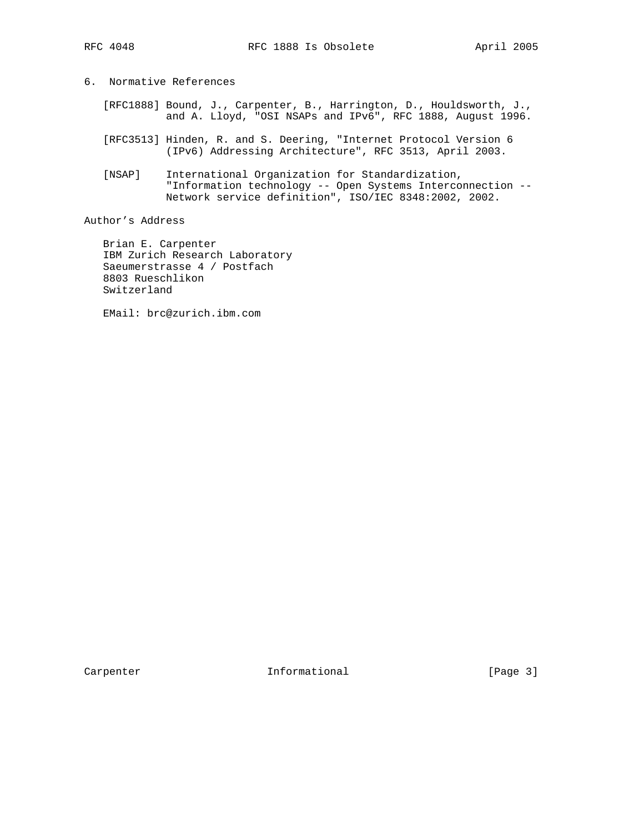6. Normative References

- [RFC1888] Bound, J., Carpenter, B., Harrington, D., Houldsworth, J., and A. Lloyd, "OSI NSAPs and IPv6", RFC 1888, August 1996.
- [RFC3513] Hinden, R. and S. Deering, "Internet Protocol Version 6 (IPv6) Addressing Architecture", RFC 3513, April 2003.
- [NSAP] International Organization for Standardization, "Information technology -- Open Systems Interconnection -- Network service definition", ISO/IEC 8348:2002, 2002.

Author's Address

 Brian E. Carpenter IBM Zurich Research Laboratory Saeumerstrasse 4 / Postfach 8803 Rueschlikon Switzerland

EMail: brc@zurich.ibm.com

Carpenter 10 Informational 100 Informational [Page 3]